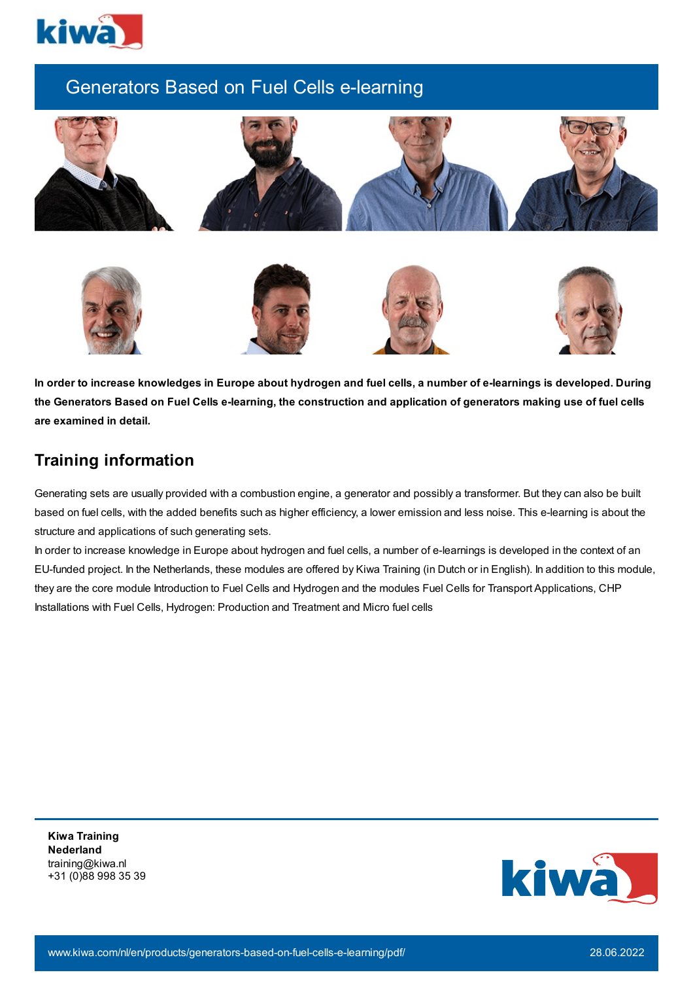

# Generators Based on Fuel Cells e-learning





## **Training information**

Generating sets are usually provided with a combustion engine, a generator and possibly a transformer. But they can also be built based on fuel cells, with the added benefits such as higher efficiency, a lower emission and less noise. This e-learning is about the structure and applications of such generating sets.

In order to increase knowledge in Europe about hydrogen and fuel cells, a number of e-learnings is developed in the context of an EU-funded project. In the Netherlands, these modules are offered by Kiwa Training (in Dutch or in English). In addition to this module, they are the core module Introduction to Fuel Cells and Hydrogen and the modules Fuel Cells for Transport Applications, CHP Installations with Fuel Cells, Hydrogen: Production and Treatment and Micro fuel cells

**Kiwa Training Nederland** training@kiwa.nl +31 (0)88 998 35 39

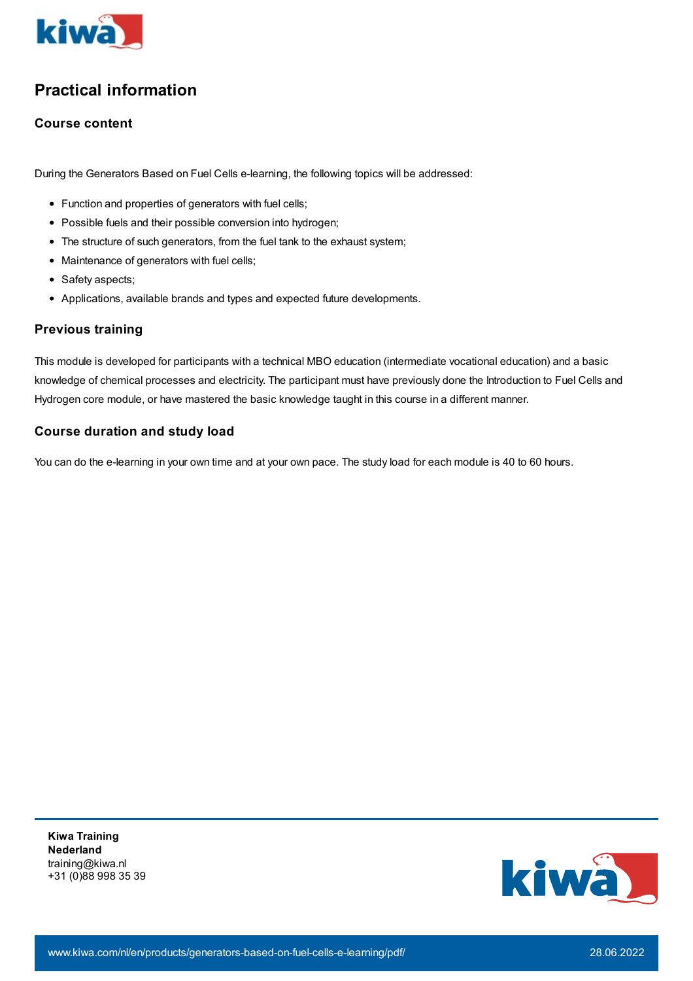

# **Practical information**

### **Course content**

During the Generators Based on Fuel Cells e-learning, the following topics will be addressed:

- Function and properties of generators with fuel cells;
- Possible fuels and their possible conversion into hydrogen;
- The structure of such generators, from the fuel tank to the exhaust system;
- Maintenance of generators with fuel cells;
- Safety aspects;
- Applications, available brands and types and expected future developments.

### **Previous training**

This module is developed for participants with a technical MBO education (intermediate vocational education) and a basic knowledge of chemical processes and electricity. The participant must have previously done the Introduction to Fuel Cells and Hydrogen core module, or have mastered the basic knowledge taught in this course in a different manner.

### **Course duration and study load**

You can do the e-learning in your own time and at your own pace. The study load for each module is 40 to 60 hours.

**Kiwa Training Nederland** training@kiwa.nl +31 (0)88 998 35 39